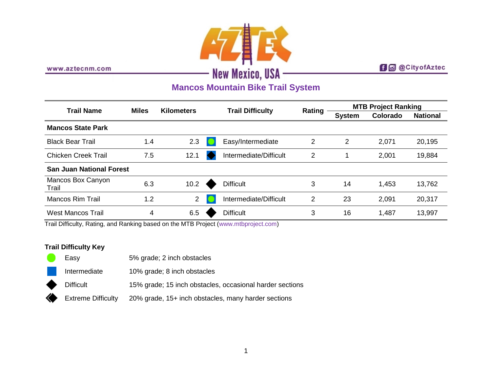

www.aztecnm.com

## **f d** @CityofAztec

# **Mancos Mountain Bike Trail System**

| <b>Trail Name</b>               | <b>Miles</b> | <b>Kilometers</b> | <b>Trail Difficulty</b> |                        | <b>Rating</b> | <b>MTB Project Ranking</b> |          |                 |
|---------------------------------|--------------|-------------------|-------------------------|------------------------|---------------|----------------------------|----------|-----------------|
|                                 |              |                   |                         |                        |               | <b>System</b>              | Colorado | <b>National</b> |
| <b>Mancos State Park</b>        |              |                   |                         |                        |               |                            |          |                 |
| <b>Black Bear Trail</b>         | 1.4          | 2.3               |                         | Easy/Intermediate      | 2             | 2                          | 2,071    | 20,195          |
| <b>Chicken Creek Trail</b>      | 7.5          | 12.1              |                         | Intermediate/Difficult | 2             |                            | 2,001    | 19,884          |
| <b>San Juan National Forest</b> |              |                   |                         |                        |               |                            |          |                 |
| Mancos Box Canyon<br>Trail      | 6.3          | 10.2              |                         | <b>Difficult</b>       | 3             | 14                         | 1,453    | 13,762          |
| Mancos Rim Trail                | 1.2          | $\overline{2}$    |                         | Intermediate/Difficult | 2             | 23                         | 2,091    | 20,317          |
| <b>West Mancos Trail</b>        | 4            | 6.5               |                         | <b>Difficult</b>       | 3             | 16                         | 1,487    | 13,997          |

Trail Difficulty, Rating, and Ranking based on the MTB Project [\(www.mtbproject.com\)](http://www.mtbproject.com/)

### **Trail Difficulty Key**

| a s | Easy               | 5% grade; 2 inch obstacles                               |
|-----|--------------------|----------------------------------------------------------|
|     | Intermediate       | 10% grade; 8 inch obstacles                              |
| ◆   | <b>Difficult</b>   | 15% grade; 15 inch obstacles, occasional harder sections |
|     | Extreme Difficulty | 20% grade, 15+ inch obstacles, many harder sections      |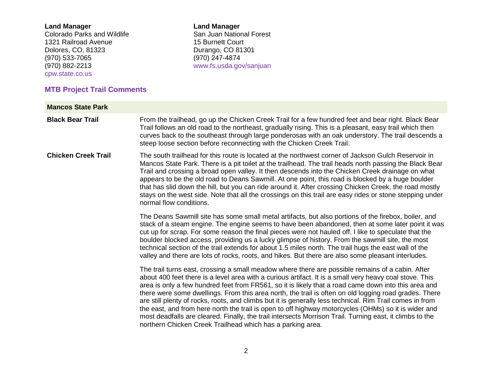#### **Land Manager**

Colorado Parks and Wildlife 1321 Railroad Avenue Dolores, CO, 81323 (970) 533-7065 (970) 882-2213 [cpw.state.co.us](http://cpw.state.co.us/)

# **MTB Project Trail Comments**

**Land Manager** San Juan National Forest 15 Burnett Court Durango, CO 81301 (970) 247-4874 [www.fs.usda.gov/sanjuan](http://www.fs.usda.gov/sanjuan)

| <b>Mancos State Park</b>                                                                                                                                                                                                                                                                                                                                                                                                                                                                                                                                                                                                             |                                                                                                                                                                                                                                                                                                                                                                                                                                                                                                                                                                                                                                                                                                                                                                                                                            |
|--------------------------------------------------------------------------------------------------------------------------------------------------------------------------------------------------------------------------------------------------------------------------------------------------------------------------------------------------------------------------------------------------------------------------------------------------------------------------------------------------------------------------------------------------------------------------------------------------------------------------------------|----------------------------------------------------------------------------------------------------------------------------------------------------------------------------------------------------------------------------------------------------------------------------------------------------------------------------------------------------------------------------------------------------------------------------------------------------------------------------------------------------------------------------------------------------------------------------------------------------------------------------------------------------------------------------------------------------------------------------------------------------------------------------------------------------------------------------|
| <b>Black Bear Trail</b>                                                                                                                                                                                                                                                                                                                                                                                                                                                                                                                                                                                                              | From the trailhead, go up the Chicken Creek Trail for a few hundred feet and bear right. Black Bear<br>Trail follows an old road to the northeast, gradually rising. This is a pleasant, easy trail which then<br>curves back to the southeast through large ponderosas with an oak understory. The trail descends a<br>steep loose section before reconnecting with the Chicken Creek Trail.                                                                                                                                                                                                                                                                                                                                                                                                                              |
| <b>Chicken Creek Trail</b>                                                                                                                                                                                                                                                                                                                                                                                                                                                                                                                                                                                                           | The south trailhead for this route is located at the northwest corner of Jackson Gulch Reservoir in<br>Mancos State Park. There is a pit toilet at the trailhead. The trail heads north passing the Black Bear<br>Trail and crossing a broad open valley. It then descends into the Chicken Creek drainage on what<br>appears to be the old road to Deans Sawmill. At one point, this road is blocked by a huge boulder<br>that has slid down the hill, but you can ride around it. After crossing Chicken Creek, the road mostly<br>stays on the west side. Note that all the crossings on this trail are easy rides or stone stepping under<br>normal flow conditions.                                                                                                                                                   |
| The Deans Sawmill site has some small metal artifacts, but also portions of the firebox, boiler, and<br>stack of a steam engine. The engine seems to have been abandoned, then at some later point it was<br>cut up for scrap. For some reason the final pieces were not hauled off. I like to speculate that the<br>boulder blocked access, providing us a lucky glimpse of history. From the sawmill site, the most<br>technical section of the trail extends for about 1.5 miles north. The trail hugs the east wall of the<br>valley and there are lots of rocks, roots, and hikes. But there are also some pleasant interludes. |                                                                                                                                                                                                                                                                                                                                                                                                                                                                                                                                                                                                                                                                                                                                                                                                                            |
|                                                                                                                                                                                                                                                                                                                                                                                                                                                                                                                                                                                                                                      | The trail turns east, crossing a small meadow where there are possible remains of a cabin. After<br>about 400 feet there is a level area with a curious artifact. It is a small very heavy coal stove. This<br>area is only a few hundred feet from FR561, so it is likely that a road came down into this area and<br>there were some dwellings. From this area north, the trail is often on old logging road grades. There<br>are still plenty of rocks, roots, and climbs but it is generally less technical. Rim Trail comes in from<br>the east, and from here north the trail is open to off highway motorcycles (OHMs) so it is wider and<br>most deadfalls are cleared. Finally, the trail intersects Morrison Trail. Turning east, it climbs to the<br>northern Chicken Creek Trailhead which has a parking area. |